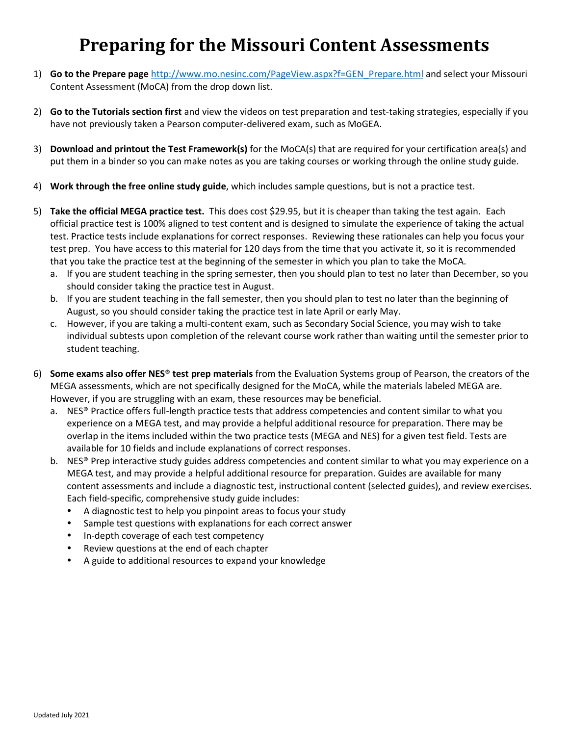## **Preparing for the Missouri Content Assessments**

- 1) **Go to the Prepare page** [http://www.mo.nesinc.com/PageView.aspx?f=GEN\\_Prepare.html](http://www.mo.nesinc.com/PageView.aspx?f=GEN_Prepare.html) and select your Missouri Content Assessment (MoCA) from the drop down list.
- 2) **Go to the Tutorials section first** and view the videos on test preparation and test-taking strategies, especially if you have not previously taken a Pearson computer-delivered exam, such as MoGEA.
- 3) **Download and printout the Test Framework(s)** for the MoCA(s) that are required for your certification area(s) and put them in a binder so you can make notes as you are taking courses or working through the online study guide.
- 4) **Work through the free online study guide**, which includes sample questions, but is not a practice test.
- 5) **Take the official MEGA practice test.** This does cost \$29.95, but it is cheaper than taking the test again. Each official practice test is 100% aligned to test content and is designed to simulate the experience of taking the actual test. Practice tests include explanations for correct responses. Reviewing these rationales can help you focus your test prep. You have access to this material for 120 days from the time that you activate it, so it is recommended that you take the practice test at the beginning of the semester in which you plan to take the MoCA.
	- a. If you are student teaching in the spring semester, then you should plan to test no later than December, so you should consider taking the practice test in August.
	- b. If you are student teaching in the fall semester, then you should plan to test no later than the beginning of August, so you should consider taking the practice test in late April or early May.
	- c. However, if you are taking a multi-content exam, such as Secondary Social Science, you may wish to take individual subtests upon completion of the relevant course work rather than waiting until the semester prior to student teaching.
- 6) **Some exams also offer NES® test prep materials** from the Evaluation Systems group of Pearson, the creators of the MEGA assessments, which are not specifically designed for the MoCA, while the materials labeled MEGA are. However, if you are struggling with an exam, these resources may be beneficial.
	- a. NES® Practice offers full-length practice tests that address competencies and content similar to what you experience on a MEGA test, and may provide a helpful additional resource for preparation. There may be overlap in the items included within the two practice tests (MEGA and NES) for a given test field. Tests are available for 10 fields and include explanations of correct responses.
	- b. NES® Prep interactive study guides address competencies and content similar to what you may experience on a MEGA test, and may provide a helpful additional resource for preparation. Guides are available for many content assessments and include a diagnostic test, instructional content (selected guides), and review exercises. Each field-specific, comprehensive study guide includes:
		- A diagnostic test to help you pinpoint areas to focus your study
		- Sample test questions with explanations for each correct answer
		- In-depth coverage of each test competency
		- Review questions at the end of each chapter
		- A guide to additional resources to expand your knowledge